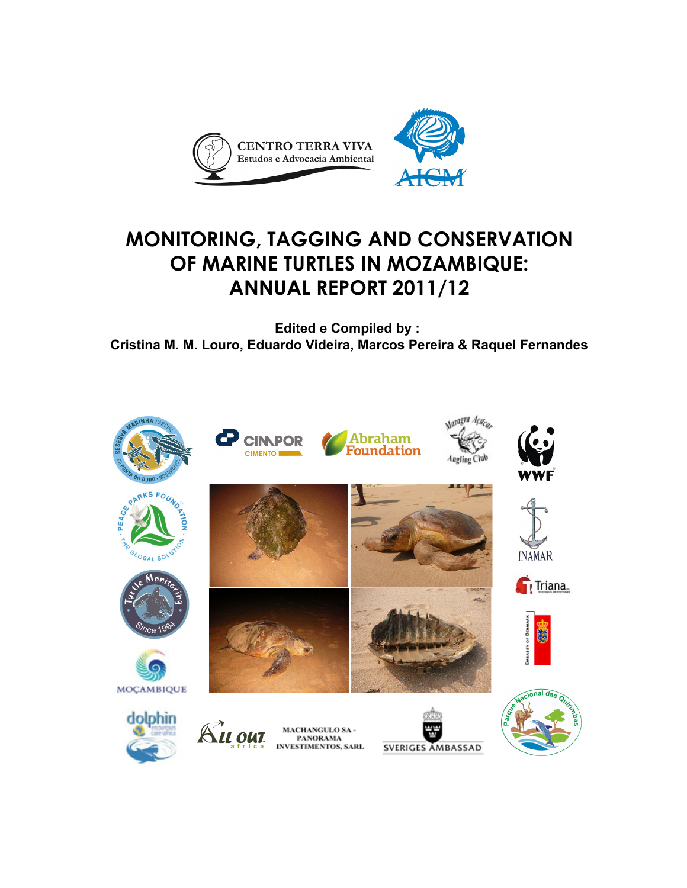

# **MONITORING, TAGGING AND CONSERVATION OF MARINE TURTLES IN MOZAMBIQUE: ANNUAL REPORT 2011/12**

**Edited e Compiled by : Cristina M. M. Louro, Eduardo Videira, Marcos Pereira & Raquel Fernandes**

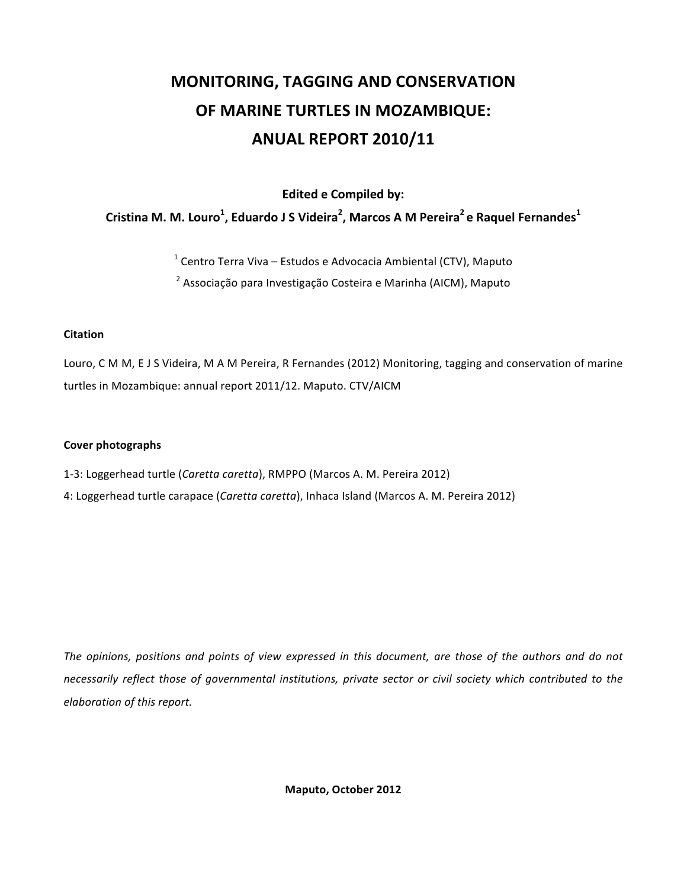# **MONITORING, TAGGING AND CONSERVATION OF MARINE TURTLES IN MOZAMBIQUE: ANUAL REPORT 2010/11**

**Edited e Compiled by:** 

### Cristina M. M. Louro<sup>1</sup>, Eduardo J S Videira<sup>2</sup>, Marcos A M Pereira<sup>2</sup>e Raquel Fernandes<sup>1</sup>

<sup>1</sup> Centro Terra Viva – Estudos e Advocacia Ambiental (CTV), Maputo

<sup>2</sup> Associação para Investigação Costeira e Marinha (AICM), Maputo

#### **Citation**

Louro, C M M, E J S Videira, M A M Pereira, R Fernandes (2012) Monitoring, tagging and conservation of marine turtles in Mozambique: annual report 2011/12. Maputo. CTV/AICM

#### **Cover photographs**

1-3: Loggerhead turtle (Caretta caretta), RMPPO (Marcos A. M. Pereira 2012)

4: Loggerhead turtle carapace (*Caretta caretta*), Inhaca Island (Marcos A. M. Pereira 2012)

*The& opinions,& positions& and& points& of& view& expressed& in& this& document,& are& those& of& the& authors& and& do& not& necessarily&reflect& those& of& governmental& institutions,& private& sector& or& civil& society&which& contributed& to& the&*  $e$ *laboration of this report.* 

Maputo, October 2012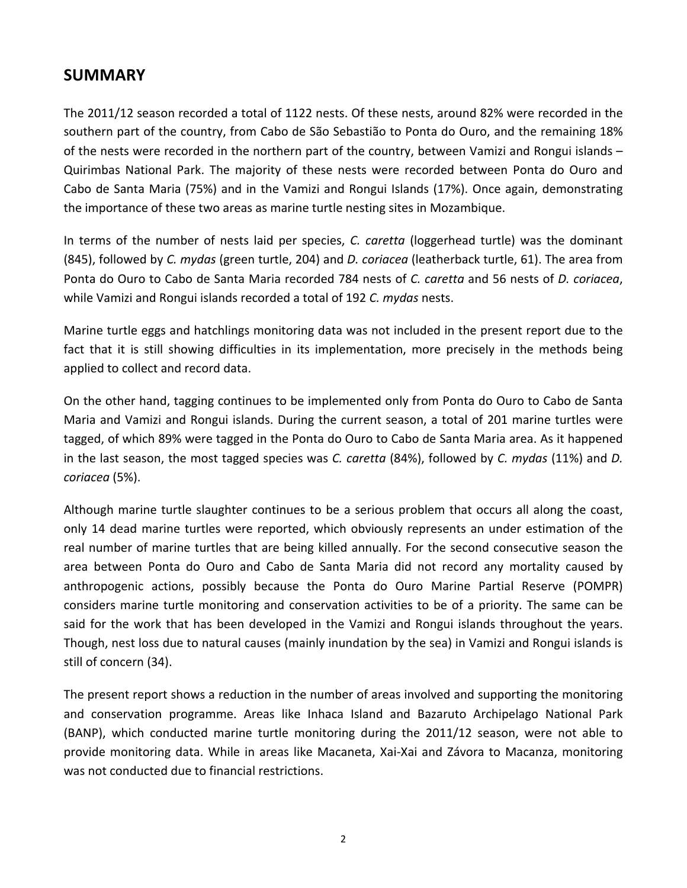### **SUMMARY**

The 2011/12 season recorded a total of 1122 nests. Of these nests, around 82% were recorded in the southern part of the country, from Cabo de São Sebastião to Ponta do Ouro, and the remaining 18% of the nests were recorded in the northern part of the country, between Vamizi and Rongui islands – Quirimbas National Park. The majority of these nests were recorded between Ponta do Ouro and Cabo de Santa Maria (75%) and in the Vamizi and Rongui Islands (17%). Once again, demonstrating the importance of these two areas as marine turtle nesting sites in Mozambique.

In terms of the number of nests laid per species, C. caretta (loggerhead turtle) was the dominant (845), followed by *C. mydas* (green turtle, 204) and *D. coriacea* (leatherback turtle, 61). The area from Ponta do Ouro to Cabo de Santa Maria recorded 784 nests of *C. caretta* and 56 nests of *D. coriacea*, while Vamizi and Rongui islands recorded a total of 192 C. mydas nests.

Marine turtle eggs and hatchlings monitoring data was not included in the present report due to the fact that it is still showing difficulties in its implementation, more precisely in the methods being applied to collect and record data.

On the other hand, tagging continues to be implemented only from Ponta do Ouro to Cabo de Santa Maria and Vamizi and Rongui islands. During the current season, a total of 201 marine turtles were tagged, of which 89% were tagged in the Ponta do Ouro to Cabo de Santa Maria area. As it happened in the last season, the most tagged species was *C. caretta* (84%), followed by *C. mydas* (11%) and *D. coriacea*"(5%).

Although marine turtle slaughter continues to be a serious problem that occurs all along the coast, only 14 dead marine turtles were reported, which obviously represents an under estimation of the real number of marine turtles that are being killed annually. For the second consecutive season the area between Ponta do Ouro and Cabo de Santa Maria did not record any mortality caused by anthropogenic actions, possibly because the Ponta do Ouro Marine Partial Reserve (POMPR) considers marine turtle monitoring and conservation activities to be of a priority. The same can be said for the work that has been developed in the Vamizi and Rongui islands throughout the years. Though, nest loss due to natural causes (mainly inundation by the sea) in Vamizi and Rongui islands is still of concern (34).

The present report shows a reduction in the number of areas involved and supporting the monitoring and conservation programme. Areas like Inhaca Island and Bazaruto Archipelago National Park (BANP), which conducted marine turtle monitoring during the  $2011/12$  season, were not able to provide monitoring data. While in areas like Macaneta, Xai-Xai and Závora to Macanza, monitoring was not conducted due to financial restrictions.

2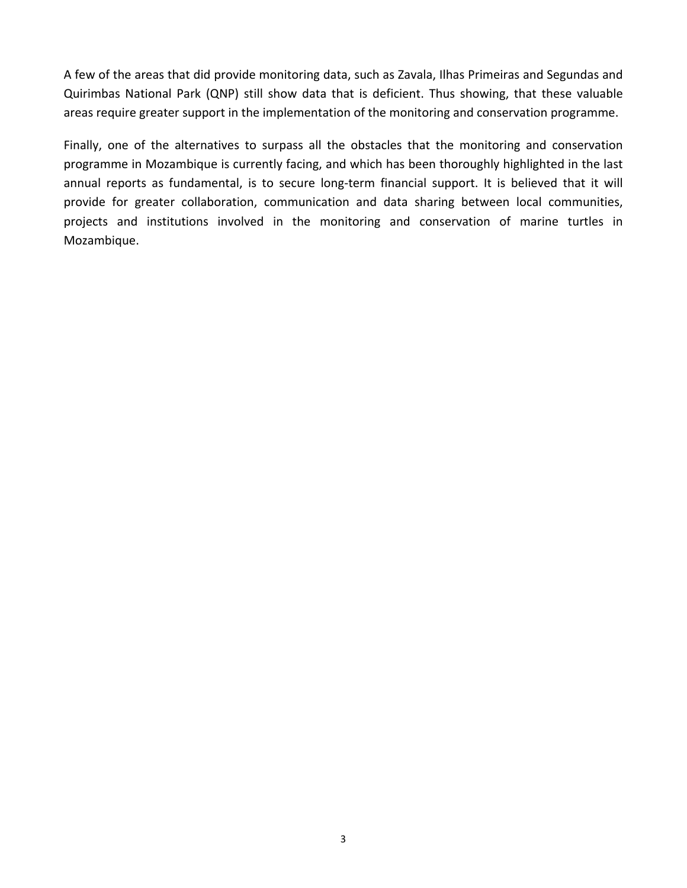A few of the areas that did provide monitoring data, such as Zavala, Ilhas Primeiras and Segundas and Quirimbas National Park (QNP) still show data that is deficient. Thus showing, that these valuable areas require greater support in the implementation of the monitoring and conservation programme.

Finally, one of the alternatives to surpass all the obstacles that the monitoring and conservation programme in Mozambique is currently facing, and which has been thoroughly highlighted in the last annual reports as fundamental, is to secure long-term financial support. It is believed that it will provide for greater collaboration, communication and data sharing between local communities, projects and institutions involved in the monitoring and conservation of marine turtles in Mozambique.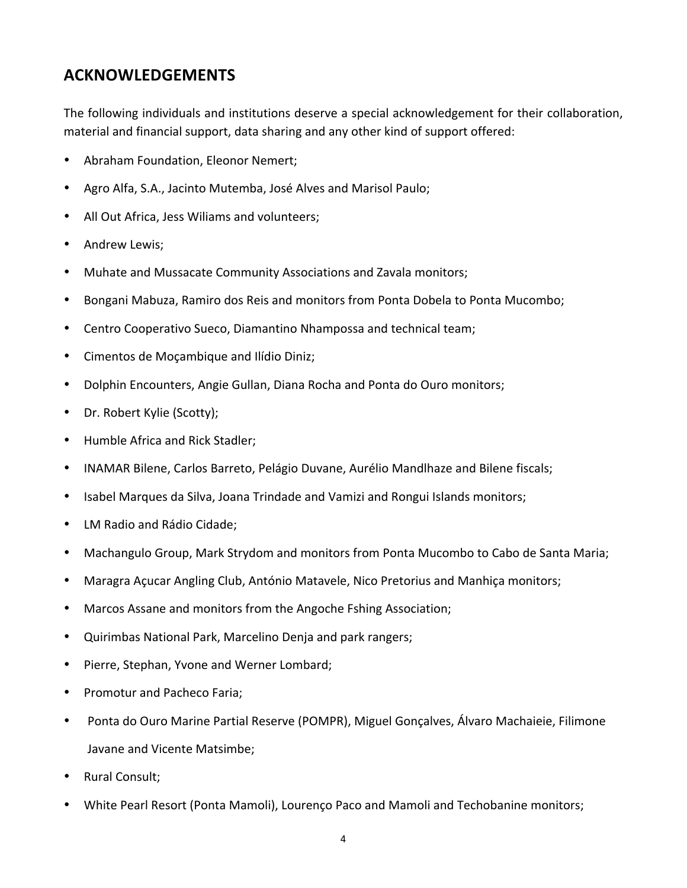## **ACKNOWLEDGEMENTS**

The following individuals and institutions deserve a special acknowledgement for their collaboration, material and financial support, data sharing and any other kind of support offered:

- Abraham Foundation, Eleonor Nemert;
- Agro Alfa, S.A., Jacinto Mutemba, José Alves and Marisol Paulo;
- All Out Africa, Jess Wiliams and volunteers;
- Andrew Lewis;
- Muhate and Mussacate Community Associations and Zavala monitors;
- Bongani Mabuza, Ramiro dos Reis and monitors from Ponta Dobela to Ponta Mucombo;
- Centro Cooperativo Sueco, Diamantino Nhampossa and technical team;
- Cimentos de Moçambique and Ilídio Diniz;
- Dolphin Encounters, Angie Gullan, Diana Rocha and Ponta do Ouro monitors;
- Dr. Robert Kylie (Scotty);
- Humble Africa and Rick Stadler;
- INAMAR Bilene, Carlos Barreto, Pelágio Duvane, Aurélio Mandlhaze and Bilene fiscals;
- Isabel Marques da Silva, Joana Trindade and Vamizi and Rongui Islands monitors;
- LM Radio and Rádio Cidade;
- Machangulo Group, Mark Strydom and monitors from Ponta Mucombo to Cabo de Santa Maria;
- Maragra Açucar Angling Club, António Matavele, Nico Pretorius and Manhiça monitors;
- Marcos Assane and monitors from the Angoche Fshing Association;
- Quirimbas National Park, Marcelino Denja and park rangers;
- Pierre, Stephan, Yvone and Werner Lombard;
- Promotur and Pacheco Faria;
- Ponta do Ouro Marine Partial Reserve (POMPR), Miguel Gonçalves, Álvaro Machaieie, Filimone Javane and Vicente Matsimbe;
- Rural Consult;
- White Pearl Resort (Ponta Mamoli), Lourenco Paco and Mamoli and Techobanine monitors;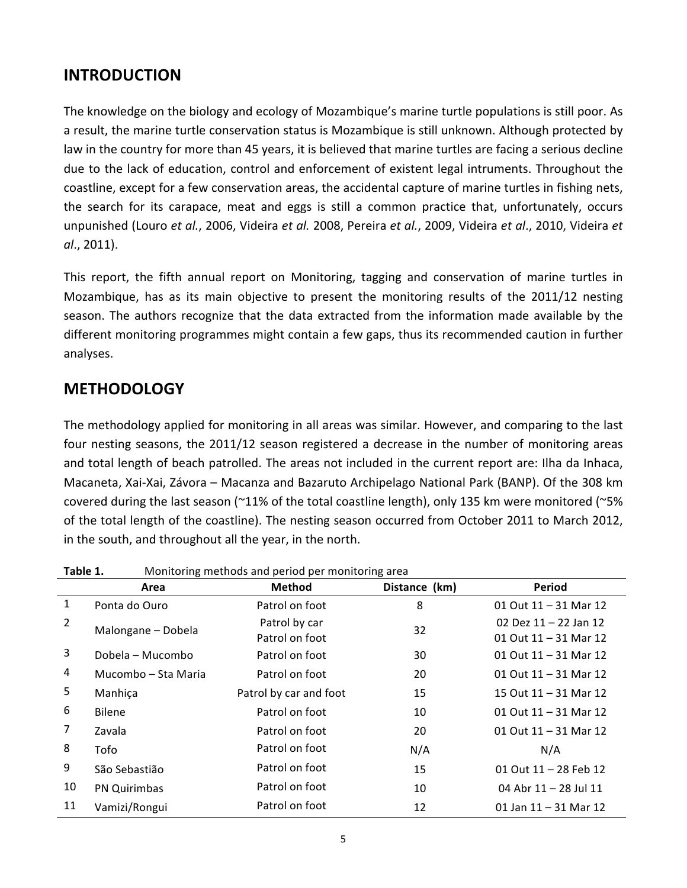### **INTRODUCTION**

The knowledge on the biology and ecology of Mozambique's marine turtle populations is still poor. As a result, the marine turtle conservation status is Mozambique is still unknown. Although protected by law in the country for more than 45 years, it is believed that marine turtles are facing a serious decline due to the lack of education, control and enforcement of existent legal intruments. Throughout the coastline, except for a few conservation areas, the accidental capture of marine turtles in fishing nets, the search for its carapace, meat and eggs is still a common practice that, unfortunately, occurs unpunished (Louro *et al.*, 2006, Videira *et al.* 2008, Pereira *et al.*, 2009, Videira *et al.*, 2010, Videira *et al.*, 2011).

This report, the fifth annual report on Monitoring, tagging and conservation of marine turtles in Mozambique, has as its main objective to present the monitoring results of the 2011/12 nesting season. The authors recognize that the data extracted from the information made available by the different monitoring programmes might contain a few gaps, thus its recommended caution in further analyses.

### **METHODOLOGY**

The methodology applied for monitoring in all areas was similar. However, and comparing to the last four nesting seasons, the 2011/12 season registered a decrease in the number of monitoring areas and total length of beach patrolled. The areas not included in the current report are: Ilha da Inhaca, Macaneta, Xai-Xai, Závora – Macanza and Bazaruto Archipelago National Park (BANP). Of the 308 km covered during the last season (~11% of the total coastline length), only 135 km were monitored (~5% of the total length of the coastline). The nesting season occurred from October 2011 to March 2012, in the south, and throughout all the year, in the north.

| Table 1.       |                     | Monitoring methods and period per monitoring area |               |                         |  |  |  |  |  |  |  |
|----------------|---------------------|---------------------------------------------------|---------------|-------------------------|--|--|--|--|--|--|--|
|                | Area                | <b>Method</b>                                     | Distance (km) | <b>Period</b>           |  |  |  |  |  |  |  |
| $\mathbf{1}$   | Ponta do Ouro       | Patrol on foot                                    | 8             | 01 Out $11 - 31$ Mar 12 |  |  |  |  |  |  |  |
| $\overline{2}$ | Malongane - Dobela  | Patrol by car                                     | 32            | 02 Dez $11 - 22$ Jan 12 |  |  |  |  |  |  |  |
|                |                     | Patrol on foot                                    |               | 01 Out 11 - 31 Mar 12   |  |  |  |  |  |  |  |
| 3              | Dobela – Mucombo    | Patrol on foot                                    | 30            | 01 Out $11 - 31$ Mar 12 |  |  |  |  |  |  |  |
| 4              | Mucombo – Sta Maria | Patrol on foot                                    | 20            | 01 Out $11 - 31$ Mar 12 |  |  |  |  |  |  |  |
| 5              | Manhiça             | Patrol by car and foot                            | 15            | 15 Out 11 - 31 Mar 12   |  |  |  |  |  |  |  |
| 6              | <b>Bilene</b>       | Patrol on foot                                    | 10            | 01 Out $11 - 31$ Mar 12 |  |  |  |  |  |  |  |
| 7              | Zavala              | Patrol on foot                                    | 20            | 01 Out $11 - 31$ Mar 12 |  |  |  |  |  |  |  |
| 8              | Tofo                | Patrol on foot                                    | N/A           | N/A                     |  |  |  |  |  |  |  |
| 9              | São Sebastião       | Patrol on foot                                    | 15            | 01 Out 11 - 28 Feb 12   |  |  |  |  |  |  |  |
| 10             | <b>PN Quirimbas</b> | Patrol on foot                                    | 10            | 04 Abr 11 - 28 Jul 11   |  |  |  |  |  |  |  |
| 11             | Vamizi/Rongui       | Patrol on foot                                    | 12            | 01 Jan $11 - 31$ Mar 12 |  |  |  |  |  |  |  |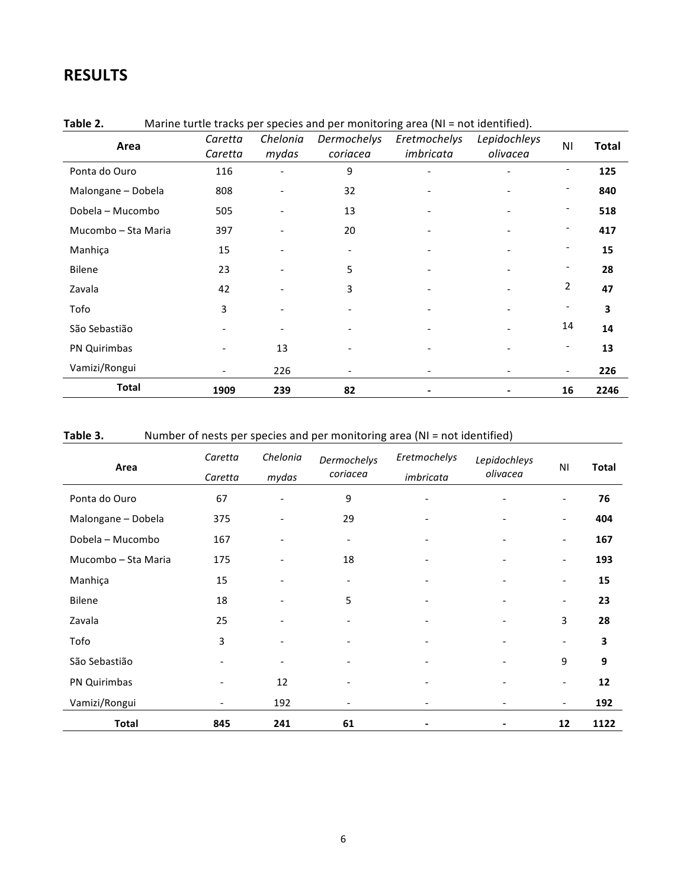# **RESULTS**

|                     | Caretta           | Chelonia | Dermochelys | Eretmochelys             | Lepidochleys | ΝI | <b>Total</b> |
|---------------------|-------------------|----------|-------------|--------------------------|--------------|----|--------------|
| Area                | Caretta           | mydas    | coriacea    | imbricata                | olivacea     |    |              |
| Ponta do Ouro       | 116               |          | 9           | $\overline{\phantom{a}}$ |              |    | 125          |
| Malongane - Dobela  | 808               |          | 32          |                          |              |    | 840          |
| Dobela - Mucombo    | 505               |          | 13          |                          |              |    | 518          |
| Mucombo - Sta Maria | 397               |          | 20          |                          |              |    | 417          |
| Manhiça             | 15                |          |             |                          |              |    | 15           |
| Bilene              | 23                |          | 5           |                          |              |    | 28           |
| Zavala              | 42                |          | 3           |                          |              | 2  | 47           |
| Tofo                | 3                 |          |             |                          |              |    | 3            |
| São Sebastião       |                   |          |             |                          |              | 14 | 14           |
| PN Quirimbas        |                   | 13       |             |                          |              |    | 13           |
| Vamizi/Rongui       | $\qquad \qquad -$ | 226      |             | $\overline{\phantom{a}}$ |              |    | 226          |
| <b>Total</b>        | 1909              | 239      | 82          |                          |              | 16 | 2246         |

#### **Table 2.** Marine turtle tracks per species and per monitoring area (NI = not identified).

### Table 3. Number of nests per species and per monitoring area (NI = not identified)

| Area                | Caretta                  | Chelonia                 | Dermochelys<br>coriacea  | Eretmochelys                 | Lepidochleys<br>olivacea | N <sub>1</sub>           | <b>Total</b> |
|---------------------|--------------------------|--------------------------|--------------------------|------------------------------|--------------------------|--------------------------|--------------|
|                     | Caretta                  | mydas                    |                          | imbricata                    |                          |                          |              |
| Ponta do Ouro       | 67                       | -                        | 9                        | $\overline{\phantom{a}}$     |                          | $\overline{\phantom{a}}$ | 76           |
| Malongane - Dobela  | 375                      | $\overline{\phantom{a}}$ | 29                       | $\overline{\phantom{a}}$     |                          | $\overline{\phantom{0}}$ | 404          |
| Dobela - Mucombo    | 167                      | $\overline{\phantom{a}}$ | $\overline{\phantom{a}}$ | $\overline{\phantom{a}}$     | $\overline{\phantom{a}}$ | $\overline{\phantom{a}}$ | 167          |
| Mucombo - Sta Maria | 175                      | $\overline{\phantom{0}}$ | 18                       | $\qquad \qquad \blacksquare$ |                          | $\overline{\phantom{a}}$ | 193          |
| Manhiça             | 15                       | $\overline{\phantom{a}}$ | $\overline{\phantom{a}}$ | $\overline{\phantom{a}}$     |                          | $\overline{\phantom{0}}$ | 15           |
| Bilene              | 18                       | $\overline{\phantom{a}}$ | 5                        | $\overline{\phantom{a}}$     | $\overline{\phantom{0}}$ | $\overline{\phantom{0}}$ | 23           |
| Zavala              | 25                       | $\overline{\phantom{0}}$ |                          | $\overline{\phantom{a}}$     |                          | 3                        | 28           |
| Tofo                | 3                        |                          |                          | $\qquad \qquad \blacksquare$ |                          | $\overline{\phantom{a}}$ | 3            |
| São Sebastião       | $\overline{\phantom{a}}$ | $\overline{\phantom{a}}$ |                          | $\overline{\phantom{a}}$     | $\overline{\phantom{0}}$ | 9                        | 9            |
| PN Quirimbas        | -                        | 12                       |                          | $\qquad \qquad \blacksquare$ |                          | $\overline{\phantom{a}}$ | 12           |
| Vamizi/Rongui       | $\overline{\phantom{a}}$ | 192                      |                          | $\overline{\phantom{a}}$     |                          | $\overline{\phantom{a}}$ | 192          |
| <b>Total</b>        | 845                      | 241                      | 61                       |                              |                          | 12                       | 1122         |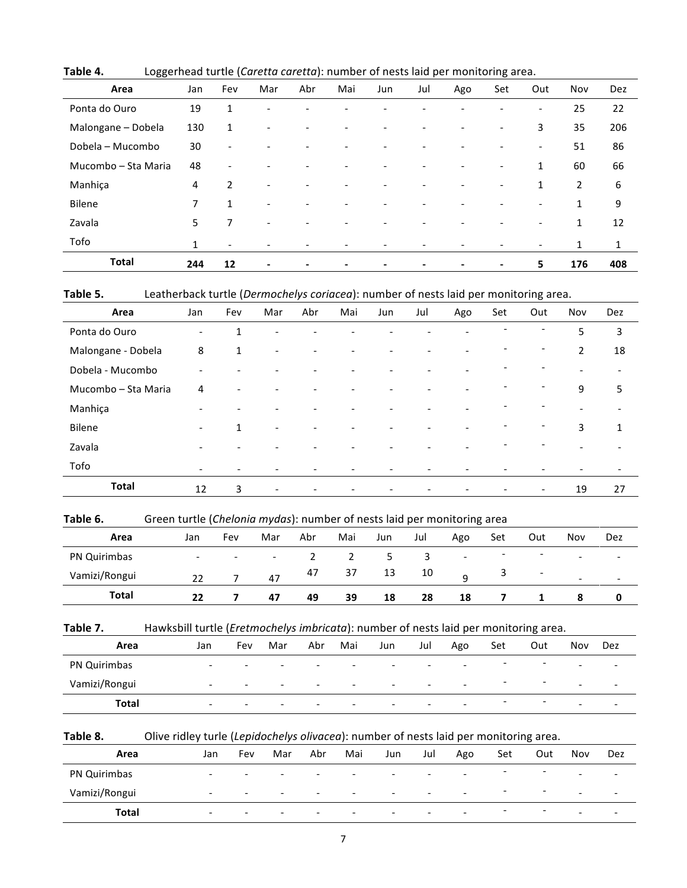| Area                | Jan          | Fev                      | Mar                      | Abr | Mai                      | Jun                      | Jul | Ago | Set                      | Out                      | Nov            | Dez |
|---------------------|--------------|--------------------------|--------------------------|-----|--------------------------|--------------------------|-----|-----|--------------------------|--------------------------|----------------|-----|
| Ponta do Ouro       | 19           | 1                        |                          |     |                          |                          |     |     | $\overline{\phantom{0}}$ | $\overline{\phantom{a}}$ | 25             | 22  |
| Malongane - Dobela  | 130          | $\mathbf{1}$             |                          |     |                          | -                        |     |     | $\overline{\phantom{a}}$ | 3                        | 35             | 206 |
| Dobela - Mucombo    | 30           | $\overline{\phantom{a}}$ |                          |     | $\overline{\phantom{0}}$ | $\qquad \qquad -$        |     |     | $\overline{\phantom{0}}$ | $\overline{\phantom{a}}$ | 51             | 86  |
| Mucombo - Sta Maria | 48           | $\overline{\phantom{0}}$ |                          |     |                          |                          |     |     | $\overline{\phantom{a}}$ | 1                        | 60             | 66  |
| Manhiça             | 4            | $\overline{2}$           | -                        |     |                          | -                        |     |     | $\overline{\phantom{0}}$ | $\mathbf{1}$             | $\overline{2}$ | 6   |
| <b>Bilene</b>       | 7            | $\mathbf{1}$             | $\overline{\phantom{0}}$ |     |                          | $\overline{\phantom{0}}$ |     |     |                          | $\overline{\phantom{a}}$ | $\mathbf{1}$   | 9   |
| Zavala              | 5            | 7                        |                          |     |                          | -                        |     |     |                          | $\overline{\phantom{0}}$ | 1              | 12  |
| Tofo                | $\mathbf{1}$ |                          |                          |     |                          |                          |     |     |                          |                          | $\mathbf{1}$   | 1   |
| <b>Total</b>        | 244          | 12                       | $\overline{\phantom{a}}$ |     | -                        | $\blacksquare$           | -   |     | $\blacksquare$           | 5                        | 176            | 408 |

Table 4. Loggerhead turtle (*Caretta caretta*): number of nests laid per monitoring area.

Table 5. Leatherback turtle (*Dermochelys coriacea*): number of nests laid per monitoring area.

| Area                | Jan                      | Fev                      | Mar                          | Abr | Mai                      | Jun                      | Jul                      | Ago                      | Set                          | Out                          | Nov                      | Dez                      |
|---------------------|--------------------------|--------------------------|------------------------------|-----|--------------------------|--------------------------|--------------------------|--------------------------|------------------------------|------------------------------|--------------------------|--------------------------|
| Ponta do Ouro       | $\overline{\phantom{0}}$ | 1                        | $\overline{\phantom{a}}$     |     |                          |                          |                          | $\overline{\phantom{a}}$ | $\qquad \qquad \blacksquare$ | $\overline{\phantom{0}}$     | 5                        | $\mathbf{3}$             |
| Malongane - Dobela  | 8                        | $\mathbf{1}$             | $\overline{\phantom{a}}$     |     | $\overline{\phantom{0}}$ | $\overline{\phantom{a}}$ | $\overline{\phantom{a}}$ | $\overline{\phantom{a}}$ | $\overline{\phantom{a}}$     | $\overline{\phantom{a}}$     | $\overline{2}$           | 18                       |
| Dobela - Mucombo    | $\overline{\phantom{0}}$ |                          |                              |     | $\overline{\phantom{a}}$ | $\overline{\phantom{0}}$ | $\overline{\phantom{a}}$ | $\overline{\phantom{0}}$ | $\overline{\phantom{a}}$     | $\overline{\phantom{a}}$     | $\overline{\phantom{a}}$ | $\overline{\phantom{a}}$ |
| Mucombo - Sta Maria | 4                        |                          |                              |     |                          |                          | $\overline{\phantom{0}}$ | $\overline{\phantom{a}}$ | $\overline{\phantom{a}}$     | $\qquad \qquad \blacksquare$ | 9                        | 5                        |
| Manhiça             | $\overline{\phantom{0}}$ | $\overline{\phantom{a}}$ | $\qquad \qquad \blacksquare$ |     | $\overline{\phantom{a}}$ |                          | $\overline{\phantom{0}}$ | $\overline{\phantom{a}}$ | $\qquad \qquad \blacksquare$ | $\overline{\phantom{a}}$     | $\overline{\phantom{a}}$ | $\overline{\phantom{a}}$ |
| Bilene              | $\overline{\phantom{0}}$ | $\mathbf{1}$             | $\overline{\phantom{0}}$     |     | $\overline{\phantom{0}}$ |                          | $\qquad \qquad -$        | $\overline{\phantom{0}}$ | $\qquad \qquad \blacksquare$ | $\overline{\phantom{a}}$     | 3                        | $\mathbf{1}$             |
| Zavala              | $\overline{\phantom{0}}$ |                          |                              |     |                          |                          |                          | $\overline{\phantom{0}}$ | $\qquad \qquad \blacksquare$ | $\overline{\phantom{a}}$     | $\overline{\phantom{a}}$ |                          |
| Tofo                | $\overline{\phantom{0}}$ | $\overline{\phantom{0}}$ | $\overline{\phantom{0}}$     |     |                          |                          |                          | $\overline{\phantom{0}}$ | $\overline{\phantom{0}}$     | ۰                            | $\overline{\phantom{0}}$ | $\overline{\phantom{a}}$ |
| <b>Total</b>        | 12                       | 3                        | $\overline{\phantom{a}}$     |     | $\overline{\phantom{a}}$ | $\overline{\phantom{a}}$ | $\overline{\phantom{a}}$ | $\overline{\phantom{a}}$ | $\overline{\phantom{a}}$     | $\overline{\phantom{a}}$     | 19                       | 27                       |

#### Table 6. Green turtle (*Chelonia mydas*): number of nests laid per monitoring area

| Area          | Jan                      | Fev                      | Mar                      | Abr | Mai | Jun | Jul | ັ<br>Ago                 | Set                      | Out                      | Nov                      | Dez                      |
|---------------|--------------------------|--------------------------|--------------------------|-----|-----|-----|-----|--------------------------|--------------------------|--------------------------|--------------------------|--------------------------|
| PN Quirimbas  | $\overline{\phantom{0}}$ | $\overline{\phantom{0}}$ | $\overline{\phantom{a}}$ |     |     | ت   | 3   | $\overline{\phantom{a}}$ | $\overline{\phantom{0}}$ | $\overline{\phantom{a}}$ | $\overline{\phantom{0}}$ | $\overline{\phantom{0}}$ |
| Vamizi/Rongui | 22                       |                          | 47                       | 47  | 37  | 13  | 10  | a                        |                          | $\overline{\phantom{a}}$ | $\overline{\phantom{0}}$ | $\overline{\phantom{0}}$ |
| <b>Total</b>  | 22                       |                          | 47                       | 49  | 39  | 18  | 28  | 18                       |                          |                          |                          |                          |

Table 7. Hawksbill turtle (*Eretmochelys imbricata*): number of nests laid per monitoring area.

| Area          | Jan                      | Fev                      | Mar                      | Abr                      | Mai                      | Jun                      | Jul                      | Ago                      | Set                      | Out                      | Nov                      | Dez                      |
|---------------|--------------------------|--------------------------|--------------------------|--------------------------|--------------------------|--------------------------|--------------------------|--------------------------|--------------------------|--------------------------|--------------------------|--------------------------|
| PN Quirimbas  | $\overline{\phantom{0}}$ | $\overline{\phantom{0}}$ | $\overline{\phantom{0}}$ | $\overline{\phantom{0}}$ | $\overline{\phantom{0}}$ | $\overline{\phantom{0}}$ | $\overline{\phantom{0}}$ | $\overline{\phantom{a}}$ | $\overline{\phantom{0}}$ | $\overline{\phantom{0}}$ | $\overline{\phantom{0}}$ | $\overline{\phantom{0}}$ |
| Vamizi/Rongui | $\overline{\phantom{0}}$ | $\overline{\phantom{0}}$ | $\overline{\phantom{0}}$ | $\overline{\phantom{0}}$ | $\overline{\phantom{0}}$ | $\overline{\phantom{0}}$ | $\overline{\phantom{0}}$ | $\overline{\phantom{0}}$ | $\overline{\phantom{a}}$ | $\overline{\phantom{0}}$ | $\overline{\phantom{0}}$ | $\overline{\phantom{0}}$ |
| <b>Total</b>  | $\overline{\phantom{0}}$ | $\overline{\phantom{0}}$ | $\overline{\phantom{0}}$ | $\overline{\phantom{0}}$ | $\overline{\phantom{0}}$ | $\overline{\phantom{0}}$ | $\overline{\phantom{0}}$ | $\overline{\phantom{0}}$ | $\overline{\phantom{a}}$ | $\overline{\phantom{a}}$ | $\overline{\phantom{0}}$ | $\overline{\phantom{0}}$ |

Table 8. Olive ridley turle (Lepidochelys olivacea): number of nests laid per monitoring area.

| Area          | Jan                      | Fev                      | Mar                      | Abr                      | Mai                      | Jun                      | Jul                      | Ago                      | Set                      | Out                      | Nov                      | Dez                      |
|---------------|--------------------------|--------------------------|--------------------------|--------------------------|--------------------------|--------------------------|--------------------------|--------------------------|--------------------------|--------------------------|--------------------------|--------------------------|
| PN Quirimbas  | $\overline{\phantom{0}}$ | $\overline{\phantom{0}}$ | $\overline{\phantom{0}}$ | $\overline{\phantom{a}}$ | $\overline{\phantom{0}}$ | $\overline{\phantom{a}}$ | $\overline{\phantom{0}}$ | $\overline{\phantom{0}}$ | $\overline{\phantom{a}}$ | -                        | $\overline{\phantom{0}}$ | $\overline{\phantom{0}}$ |
| Vamizi/Rongui | $\overline{\phantom{0}}$ | $\overline{\phantom{0}}$ | $\overline{\phantom{0}}$ | $\overline{\phantom{0}}$ | $\overline{\phantom{0}}$ | $\overline{\phantom{0}}$ | $\overline{\phantom{0}}$ | $\overline{\phantom{0}}$ | -                        | $\overline{\phantom{0}}$ | $\overline{\phantom{0}}$ | $\overline{\phantom{0}}$ |
| Total         | $\overline{\phantom{0}}$ | $\overline{\phantom{0}}$ | $\overline{\phantom{0}}$ | $\overline{\phantom{0}}$ | $\overline{\phantom{0}}$ | $\overline{\phantom{a}}$ | $\overline{\phantom{0}}$ | $\overline{\phantom{a}}$ | $\overline{\phantom{0}}$ | $\overline{\phantom{0}}$ | $\overline{\phantom{0}}$ | $\overline{\phantom{a}}$ |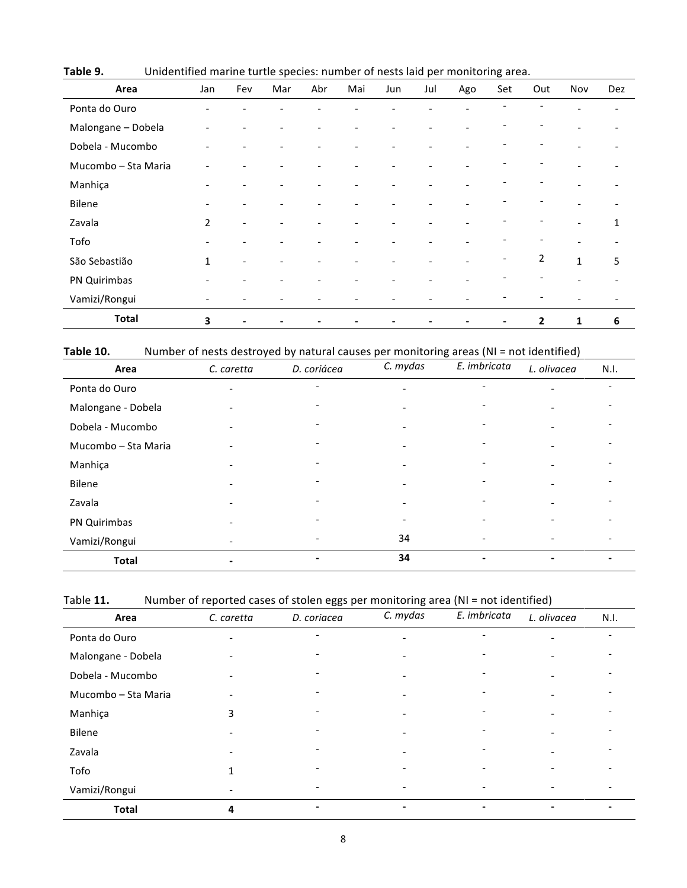| Area                | Jan            | Fev            | Mar                      | Abr                          | Mai                      | Jun | Jul | Ago | Set                      | Out                          | Nov                      | Dez                      |
|---------------------|----------------|----------------|--------------------------|------------------------------|--------------------------|-----|-----|-----|--------------------------|------------------------------|--------------------------|--------------------------|
| Ponta do Ouro       |                |                |                          |                              |                          |     |     |     |                          |                              |                          | $\qquad \qquad -$        |
| Malongane - Dobela  |                |                |                          |                              | -                        |     |     |     |                          | $\overline{\phantom{a}}$     | $\overline{\phantom{0}}$ | $\overline{\phantom{a}}$ |
| Dobela - Mucombo    |                |                | $\overline{\phantom{0}}$ | $\overline{a}$               | $\overline{\phantom{0}}$ |     |     |     |                          | $\qquad \qquad \blacksquare$ | $\overline{\phantom{a}}$ | $\overline{\phantom{0}}$ |
| Mucombo - Sta Maria |                |                |                          |                              |                          |     |     |     |                          |                              | $\overline{\phantom{a}}$ | $\overline{\phantom{a}}$ |
| Manhiça             |                |                |                          | $\qquad \qquad \blacksquare$ |                          |     |     |     |                          |                              |                          | $\overline{\phantom{a}}$ |
| Bilene              |                |                |                          |                              |                          |     |     |     |                          |                              |                          | $\overline{\phantom{0}}$ |
| Zavala              | $\overline{2}$ | $\overline{a}$ |                          |                              |                          |     |     |     |                          | $\overline{\phantom{0}}$     | $\overline{\phantom{0}}$ | $\mathbf{1}$             |
| Tofo                |                |                | $\overline{\phantom{a}}$ |                              | -                        |     |     |     |                          | $\overline{\phantom{a}}$     | $\overline{\phantom{a}}$ | $\overline{\phantom{a}}$ |
| São Sebastião       | $\mathbf{1}$   | $\overline{a}$ | $\overline{\phantom{0}}$ |                              |                          |     |     |     | $\overline{\phantom{a}}$ | $\overline{2}$               | $\mathbf{1}$             | 5                        |
| PN Quirimbas        |                |                |                          |                              |                          |     |     |     |                          |                              | $\overline{\phantom{a}}$ | $\overline{\phantom{a}}$ |
| Vamizi/Rongui       |                |                |                          |                              |                          |     |     |     |                          |                              |                          | $\overline{\phantom{a}}$ |
| <b>Total</b>        | 3              |                |                          |                              | -                        |     |     |     | $\blacksquare$           | $\overline{2}$               | 1                        | 6                        |

Table 9. Unidentified marine turtle species: number of nests laid per monitoring area.

| Table 10. |  | Number of nests destroyed by natural causes per monitoring areas (NI = not identified) |
|-----------|--|----------------------------------------------------------------------------------------|
|-----------|--|----------------------------------------------------------------------------------------|

| Area                | C. caretta               | D. coriácea              | C. mydas                 | E. imbricata             | L. olivacea              | N.I.                     |
|---------------------|--------------------------|--------------------------|--------------------------|--------------------------|--------------------------|--------------------------|
| Ponta do Ouro       | $\overline{\phantom{0}}$ |                          | $\qquad \qquad -$        | $\overline{\phantom{0}}$ | $\overline{\phantom{0}}$ |                          |
| Malongane - Dobela  |                          |                          | $\overline{\phantom{0}}$ |                          |                          |                          |
| Dobela - Mucombo    |                          |                          |                          |                          |                          |                          |
| Mucombo - Sta Maria |                          |                          | $\overline{a}$           |                          |                          |                          |
| Manhiça             |                          |                          | $\overline{\phantom{0}}$ |                          |                          |                          |
| Bilene              |                          |                          |                          |                          |                          |                          |
| Zavala              |                          |                          |                          |                          |                          |                          |
| PN Quirimbas        |                          |                          |                          |                          |                          |                          |
| Vamizi/Rongui       |                          | $\overline{\phantom{0}}$ | 34                       | $\overline{\phantom{a}}$ |                          | $\overline{\phantom{0}}$ |
| <b>Total</b>        | -                        |                          | 34                       | Ξ.                       | -                        | $\blacksquare$           |

| Table 11. | Number of reported cases of stolen eggs per monitoring area (NI = not identified) |  |  |  |
|-----------|-----------------------------------------------------------------------------------|--|--|--|
|-----------|-----------------------------------------------------------------------------------|--|--|--|

| Area                | C. caretta | D. coriacea | C. mydas                 | E. imbricata             | L. olivacea | N.I. |
|---------------------|------------|-------------|--------------------------|--------------------------|-------------|------|
| Ponta do Ouro       |            |             | $\overline{\phantom{a}}$ |                          |             |      |
| Malongane - Dobela  |            |             |                          |                          |             |      |
| Dobela - Mucombo    |            |             |                          |                          |             |      |
| Mucombo - Sta Maria |            |             |                          |                          |             |      |
| Manhiça             | 3          |             |                          |                          |             |      |
| Bilene              |            |             |                          |                          |             |      |
| Zavala              |            |             |                          |                          |             |      |
| Tofo                |            |             |                          |                          |             |      |
| Vamizi/Rongui       |            |             |                          | $\overline{\phantom{0}}$ |             |      |
| <b>Total</b>        | 4          |             |                          |                          |             |      |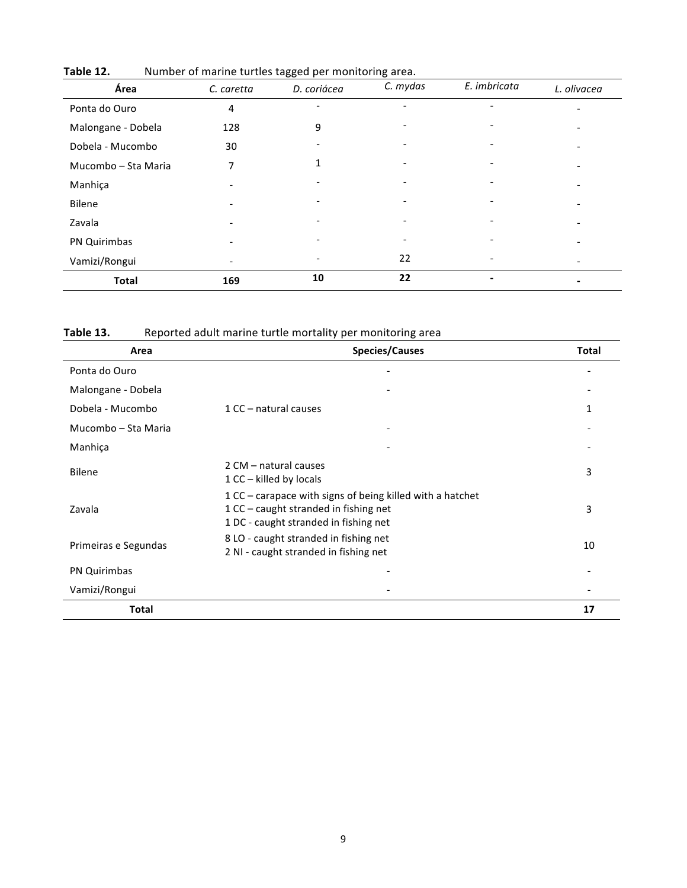| Área                | C. caretta                   | D. coriácea | C. mydas | E. imbricata | L. olivacea |
|---------------------|------------------------------|-------------|----------|--------------|-------------|
| Ponta do Ouro       | 4                            |             |          |              |             |
| Malongane - Dobela  | 128                          | 9           |          |              |             |
| Dobela - Mucombo    | 30                           |             |          |              |             |
| Mucombo - Sta Maria | 7                            |             |          |              |             |
| Manhiça             |                              |             |          |              |             |
| Bilene              |                              |             |          |              |             |
| Zavala              | $\qquad \qquad \blacksquare$ |             |          |              |             |
| PN Quirimbas        |                              |             |          |              |             |
| Vamizi/Rongui       |                              |             | 22       |              |             |
| <b>Total</b>        | 169                          | 10          | 22       |              |             |

Table 12. Number of marine turtles tagged per monitoring area.

Table 13. Reported adult marine turtle mortality per monitoring area

| Area                 | <b>Species/Causes</b>                                                                                                                         | <b>Total</b> |
|----------------------|-----------------------------------------------------------------------------------------------------------------------------------------------|--------------|
| Ponta do Ouro        |                                                                                                                                               |              |
| Malongane - Dobela   |                                                                                                                                               |              |
| Dobela - Mucombo     | 1 CC - natural causes                                                                                                                         | 1            |
| Mucombo - Sta Maria  |                                                                                                                                               |              |
| Manhiça              |                                                                                                                                               |              |
| <b>Bilene</b>        | 2 CM - natural causes<br>$1$ CC – killed by locals                                                                                            | 3            |
| Zavala               | 1 CC - carapace with signs of being killed with a hatchet<br>$1$ CC – caught stranded in fishing net<br>1 DC - caught stranded in fishing net | 3            |
| Primeiras e Segundas | 8 LO - caught stranded in fishing net<br>2 NI - caught stranded in fishing net                                                                | 10           |
| PN Quirimbas         |                                                                                                                                               |              |
| Vamizi/Rongui        |                                                                                                                                               |              |
| Total                |                                                                                                                                               | 17           |